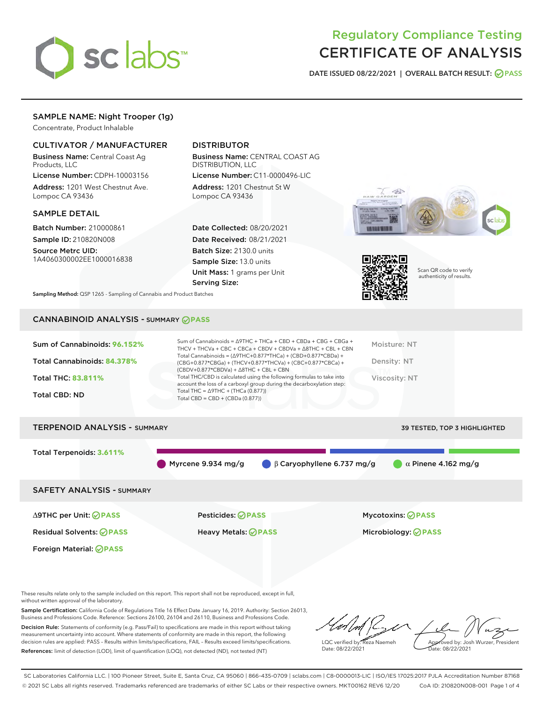

# Regulatory Compliance Testing CERTIFICATE OF ANALYSIS

DATE ISSUED 08/22/2021 | OVERALL BATCH RESULT: @ PASS

# SAMPLE NAME: Night Trooper (1g)

Concentrate, Product Inhalable

# CULTIVATOR / MANUFACTURER

Business Name: Central Coast Ag Products, LLC

License Number: CDPH-10003156 Address: 1201 West Chestnut Ave. Lompoc CA 93436

#### SAMPLE DETAIL

Batch Number: 210000861 Sample ID: 210820N008

Source Metrc UID: 1A4060300002EE1000016838

# DISTRIBUTOR

Business Name: CENTRAL COAST AG DISTRIBUTION, LLC License Number: C11-0000496-LIC

Address: 1201 Chestnut St W Lompoc CA 93436

Date Collected: 08/20/2021 Date Received: 08/21/2021 Batch Size: 2130.0 units Sample Size: 13.0 units Unit Mass: 1 grams per Unit Serving Size:





Scan QR code to verify authenticity of results.

Sampling Method: QSP 1265 - Sampling of Cannabis and Product Batches

# CANNABINOID ANALYSIS - SUMMARY **PASS**

| Sum of Cannabinoids: 96.152%<br>Total Cannabinoids: 84.378%<br><b>Total THC: 83,811%</b><br><b>Total CBD: ND</b> | Sum of Cannabinoids = $\triangle$ 9THC + THCa + CBD + CBDa + CBG + CBGa +<br>THCV + THCVa + CBC + CBCa + CBDV + CBDVa + $\Delta$ 8THC + CBL + CBN<br>Total Cannabinoids = $(\Delta$ 9THC+0.877*THCa) + (CBD+0.877*CBDa) +<br>(CBG+0.877*CBGa) + (THCV+0.877*THCVa) + (CBC+0.877*CBCa) +<br>$(CBDV+0.877*CBDVa) + \Delta 8THC + CBL + CBN$<br>Total THC/CBD is calculated using the following formulas to take into<br>account the loss of a carboxyl group during the decarboxylation step:<br>Total THC = $\triangle$ 9THC + (THCa (0.877))<br>Total CBD = $CBD + (CBDa (0.877))$ | Moisture: NT<br>Density: NT<br>Viscosity: NT |
|------------------------------------------------------------------------------------------------------------------|------------------------------------------------------------------------------------------------------------------------------------------------------------------------------------------------------------------------------------------------------------------------------------------------------------------------------------------------------------------------------------------------------------------------------------------------------------------------------------------------------------------------------------------------------------------------------------|----------------------------------------------|
| <b>TERPENOID ANALYSIS - SUMMARY</b>                                                                              |                                                                                                                                                                                                                                                                                                                                                                                                                                                                                                                                                                                    | 39 TESTED, TOP 3 HIGHLIGHTED                 |
| Total Terpenoids: 3.611%                                                                                         | $\beta$ Garyophyllene 6.737 mg/g<br>Myrcene 9.934 mg/g                                                                                                                                                                                                                                                                                                                                                                                                                                                                                                                             | $\alpha$ Pinene 4.162 mg/g                   |
|                                                                                                                  |                                                                                                                                                                                                                                                                                                                                                                                                                                                                                                                                                                                    |                                              |

SAFETY ANALYSIS - SUMMARY

∆9THC per Unit: **PASS** Pesticides: **PASS** Mycotoxins: **PASS**

Foreign Material: **PASS**

Residual Solvents: **PASS** Heavy Metals: **PASS** Microbiology: **PASS**

These results relate only to the sample included on this report. This report shall not be reproduced, except in full, without written approval of the laboratory.

Sample Certification: California Code of Regulations Title 16 Effect Date January 16, 2019. Authority: Section 26013, Business and Professions Code. Reference: Sections 26100, 26104 and 26110, Business and Professions Code. Decision Rule: Statements of conformity (e.g. Pass/Fail) to specifications are made in this report without taking measurement uncertainty into account. Where statements of conformity are made in this report, the following decision rules are applied: PASS – Results within limits/specifications, FAIL – Results exceed limits/specifications.

References: limit of detection (LOD), limit of quantification (LOQ), not detected (ND), not tested (NT)

LQC verified by: Reza Naemeh Date: 08/22/2021 Approved by: Josh Wurzer, President Date: 08/22/2021

SC Laboratories California LLC. | 100 Pioneer Street, Suite E, Santa Cruz, CA 95060 | 866-435-0709 | sclabs.com | C8-0000013-LIC | ISO/IES 17025:2017 PJLA Accreditation Number 87168 © 2021 SC Labs all rights reserved. Trademarks referenced are trademarks of either SC Labs or their respective owners. MKT00162 REV6 12/20 CoA ID: 210820N008-001 Page 1 of 4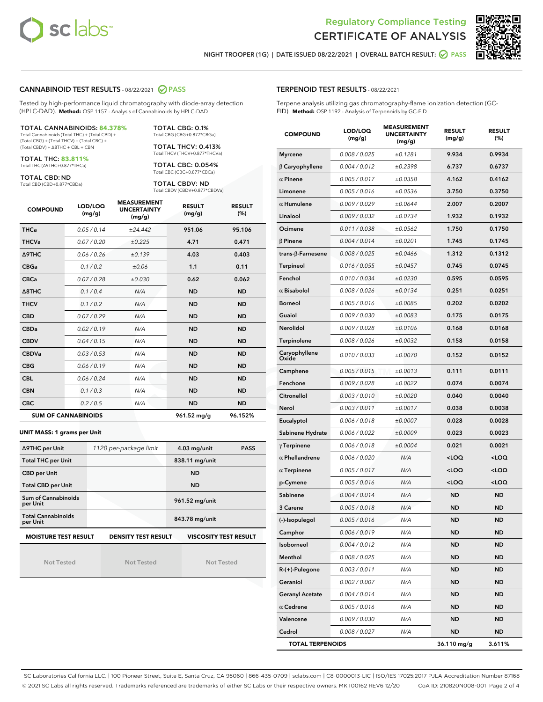



NIGHT TROOPER (1G) | DATE ISSUED 08/22/2021 | OVERALL BATCH RESULT: **○** PASS

#### CANNABINOID TEST RESULTS - 08/22/2021 2 PASS

Tested by high-performance liquid chromatography with diode-array detection (HPLC-DAD). **Method:** QSP 1157 - Analysis of Cannabinoids by HPLC-DAD

#### TOTAL CANNABINOIDS: **84.378%**

Total Cannabinoids (Total THC) + (Total CBD) + (Total CBG) + (Total THCV) + (Total CBC) + (Total CBDV) + ∆8THC + CBL + CBN

TOTAL THC: **83.811%** Total THC (∆9THC+0.877\*THCa)

TOTAL CBD: ND

Total CBD (CBD+0.877\*CBDa)

TOTAL CBG: 0.1% Total CBG (CBG+0.877\*CBGa)

TOTAL THCV: 0.413% Total THCV (THCV+0.877\*THCVa)

TOTAL CBC: 0.054% Total CBC (CBC+0.877\*CBCa)

TOTAL CBDV: ND Total CBDV (CBDV+0.877\*CBDVa)

| <b>COMPOUND</b>  | LOD/LOQ<br>(mg/g)          | <b>MEASUREMENT</b><br><b>UNCERTAINTY</b><br>(mg/g) | <b>RESULT</b><br>(mg/g) | <b>RESULT</b><br>(%) |
|------------------|----------------------------|----------------------------------------------------|-------------------------|----------------------|
| <b>THCa</b>      | 0.05/0.14                  | ±24.442                                            | 951.06                  | 95.106               |
| <b>THCVa</b>     | 0.07/0.20                  | ±0.225                                             | 4.71                    | 0.471                |
| <b>A9THC</b>     | 0.06 / 0.26                | ±0.139                                             | 4.03                    | 0.403                |
| <b>CBGa</b>      | 0.1/0.2                    | ±0.06                                              | 1.1                     | 0.11                 |
| <b>CBCa</b>      | 0.07 / 0.28                | ±0.030                                             | 0.62                    | 0.062                |
| $\triangle$ 8THC | 0.1/0.4                    | N/A                                                | <b>ND</b>               | <b>ND</b>            |
| <b>THCV</b>      | 0.1/0.2                    | N/A                                                | <b>ND</b>               | <b>ND</b>            |
| <b>CBD</b>       | 0.07/0.29                  | N/A                                                | <b>ND</b>               | <b>ND</b>            |
| <b>CBDa</b>      | 0.02/0.19                  | N/A                                                | <b>ND</b>               | <b>ND</b>            |
| <b>CBDV</b>      | 0.04 / 0.15                | N/A                                                | <b>ND</b>               | <b>ND</b>            |
| <b>CBDVa</b>     | 0.03/0.53                  | N/A                                                | <b>ND</b>               | <b>ND</b>            |
| <b>CBG</b>       | 0.06/0.19                  | N/A                                                | <b>ND</b>               | <b>ND</b>            |
| <b>CBL</b>       | 0.06 / 0.24                | N/A                                                | <b>ND</b>               | <b>ND</b>            |
| <b>CBN</b>       | 0.1/0.3                    | N/A                                                | <b>ND</b>               | <b>ND</b>            |
| <b>CBC</b>       | 0.2 / 0.5                  | N/A                                                | <b>ND</b>               | <b>ND</b>            |
|                  | <b>SUM OF CANNABINOIDS</b> |                                                    | 961.52 mg/g             | 96.152%              |

#### **UNIT MASS: 1 grams per Unit**

| ∆9THC per Unit                                                                            | 1120 per-package limit | $4.03$ mg/unit<br><b>PASS</b> |  |  |  |
|-------------------------------------------------------------------------------------------|------------------------|-------------------------------|--|--|--|
| <b>Total THC per Unit</b>                                                                 |                        | 838.11 mg/unit                |  |  |  |
| <b>CBD per Unit</b>                                                                       |                        | <b>ND</b>                     |  |  |  |
| <b>Total CBD per Unit</b>                                                                 |                        | <b>ND</b>                     |  |  |  |
| Sum of Cannabinoids<br>per Unit                                                           |                        | 961.52 mg/unit                |  |  |  |
| <b>Total Cannabinoids</b><br>per Unit                                                     |                        | 843.78 mg/unit                |  |  |  |
| <b>MOISTURE TEST RESULT</b><br><b>VISCOSITY TEST RESULT</b><br><b>DENSITY TEST RESULT</b> |                        |                               |  |  |  |

# **MOISTURE TEST RESULT**

Not Tested

Not Tested

Not Tested

#### TERPENOID TEST RESULTS - 08/22/2021

Terpene analysis utilizing gas chromatography-flame ionization detection (GC-FID). **Method:** QSP 1192 - Analysis of Terpenoids by GC-FID

| <b>COMPOUND</b>          | LOD/LOQ<br>(mg/g) | <b>MEASUREMENT</b><br><b>UNCERTAINTY</b><br>(mg/g) | <b>RESULT</b><br>(mg/g)                         | <b>RESULT</b><br>(%) |
|--------------------------|-------------------|----------------------------------------------------|-------------------------------------------------|----------------------|
| <b>Myrcene</b>           | 0.008 / 0.025     | ±0.1281                                            | 9.934                                           | 0.9934               |
| $\beta$ Caryophyllene    | 0.004 / 0.012     | ±0.2398                                            | 6.737                                           | 0.6737               |
| $\alpha$ Pinene          | 0.005 / 0.017     | ±0.0358                                            | 4.162                                           | 0.4162               |
| Limonene                 | 0.005 / 0.016     | ±0.0536                                            | 3.750                                           | 0.3750               |
| $\alpha$ Humulene        | 0.009/0.029       | ±0.0644                                            | 2.007                                           | 0.2007               |
| Linalool                 | 0.009 / 0.032     | ±0.0734                                            | 1.932                                           | 0.1932               |
| Ocimene                  | 0.011 / 0.038     | ±0.0562                                            | 1.750                                           | 0.1750               |
| $\beta$ Pinene           | 0.004 / 0.014     | ±0.0201                                            | 1.745                                           | 0.1745               |
| $trans-\beta$ -Farnesene | 0.008 / 0.025     | ±0.0466                                            | 1.312                                           | 0.1312               |
| Terpineol                | 0.016 / 0.055     | ±0.0457                                            | 0.745                                           | 0.0745               |
| Fenchol                  | 0.010 / 0.034     | ±0.0230                                            | 0.595                                           | 0.0595               |
| $\alpha$ Bisabolol       | 0.008 / 0.026     | ±0.0134                                            | 0.251                                           | 0.0251               |
| <b>Borneol</b>           | 0.005 / 0.016     | ±0.0085                                            | 0.202                                           | 0.0202               |
| Guaiol                   | 0.009 / 0.030     | ±0.0083                                            | 0.175                                           | 0.0175               |
| Nerolidol                | 0.009 / 0.028     | ±0.0106                                            | 0.168                                           | 0.0168               |
| Terpinolene              | 0.008 / 0.026     | ±0.0032                                            | 0.158                                           | 0.0158               |
| Caryophyllene<br>Oxide   | 0.010 / 0.033     | ±0.0070                                            | 0.152                                           | 0.0152               |
| Camphene                 | 0.005 / 0.015     | ±0.0013                                            | 0.111                                           | 0.0111               |
| Fenchone                 | 0.009 / 0.028     | ±0.0022                                            | 0.074                                           | 0.0074               |
| Citronellol              | 0.003 / 0.010     | ±0.0020                                            | 0.040                                           | 0.0040               |
| Nerol                    | 0.003 / 0.011     | ±0.0017                                            | 0.038                                           | 0.0038               |
| Eucalyptol               | 0.006 / 0.018     | ±0.0007                                            | 0.028                                           | 0.0028               |
| Sabinene Hydrate         | 0.006 / 0.022     | ±0.0009                                            | 0.023                                           | 0.0023               |
| $\gamma$ Terpinene       | 0.006 / 0.018     | ±0.0004                                            | 0.021                                           | 0.0021               |
| $\alpha$ Phellandrene    | 0.006 / 0.020     | N/A                                                | <loq< th=""><th><loq< th=""></loq<></th></loq<> | <loq< th=""></loq<>  |
| $\alpha$ Terpinene       | 0.005 / 0.017     | N/A                                                | <loq< th=""><th><loq< th=""></loq<></th></loq<> | <loq< th=""></loq<>  |
| p-Cymene                 | 0.005 / 0.016     | N/A                                                | <loq< th=""><th><loq< th=""></loq<></th></loq<> | <loq< th=""></loq<>  |
| Sabinene                 | 0.004 / 0.014     | N/A                                                | <b>ND</b>                                       | <b>ND</b>            |
| 3 Carene                 | 0.005 / 0.018     | N/A                                                | ND                                              | <b>ND</b>            |
| (-)-Isopulegol           | 0.005 / 0.016     | N/A                                                | <b>ND</b>                                       | <b>ND</b>            |
| Camphor                  | 0.006 / 0.019     | N/A                                                | ND                                              | <b>ND</b>            |
| Isoborneol               | 0.004 / 0.012     | N/A                                                | ND                                              | ND                   |
| Menthol                  | 0.008 / 0.025     | N/A                                                | ND                                              | ND                   |
| R-(+)-Pulegone           | 0.003 / 0.011     | N/A                                                | ND                                              | <b>ND</b>            |
| Geraniol                 | 0.002 / 0.007     | N/A                                                | ND                                              | ND                   |
| <b>Geranyl Acetate</b>   | 0.004 / 0.014     | N/A                                                | ND                                              | ND                   |
| $\alpha$ Cedrene         | 0.005 / 0.016     | N/A                                                | ND                                              | ND                   |
| Valencene                | 0.009 / 0.030     | N/A                                                | ND                                              | ND                   |
| Cedrol                   | 0.008 / 0.027     | N/A                                                | ND                                              | <b>ND</b>            |
| <b>TOTAL TERPENOIDS</b>  |                   |                                                    | 36.110 mg/g                                     | 3.611%               |

SC Laboratories California LLC. | 100 Pioneer Street, Suite E, Santa Cruz, CA 95060 | 866-435-0709 | sclabs.com | C8-0000013-LIC | ISO/IES 17025:2017 PJLA Accreditation Number 87168 © 2021 SC Labs all rights reserved. Trademarks referenced are trademarks of either SC Labs or their respective owners. MKT00162 REV6 12/20 CoA ID: 210820N008-001 Page 2 of 4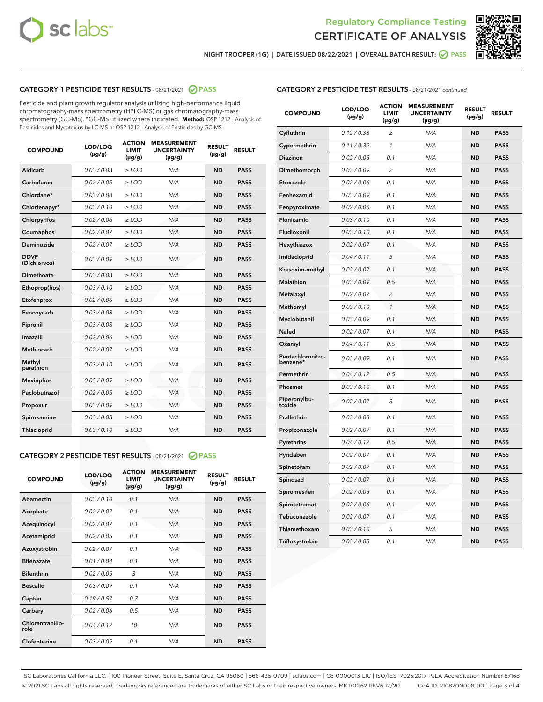



NIGHT TROOPER (1G) | DATE ISSUED 08/22/2021 | OVERALL BATCH RESULT: ● PASS

# CATEGORY 1 PESTICIDE TEST RESULTS - 08/21/2021 2 PASS

Pesticide and plant growth regulator analysis utilizing high-performance liquid chromatography-mass spectrometry (HPLC-MS) or gas chromatography-mass spectrometry (GC-MS). \*GC-MS utilized where indicated. **Method:** QSP 1212 - Analysis of Pesticides and Mycotoxins by LC-MS or QSP 1213 - Analysis of Pesticides by GC-MS

| <b>COMPOUND</b>             | LOD/LOQ<br>$(\mu g/g)$ | <b>ACTION</b><br><b>LIMIT</b><br>$(\mu g/g)$ | <b>MEASUREMENT</b><br><b>UNCERTAINTY</b><br>$(\mu g/g)$ | <b>RESULT</b><br>$(\mu g/g)$ | <b>RESULT</b> |
|-----------------------------|------------------------|----------------------------------------------|---------------------------------------------------------|------------------------------|---------------|
| Aldicarb                    | 0.03 / 0.08            | $\ge$ LOD                                    | N/A                                                     | <b>ND</b>                    | <b>PASS</b>   |
| Carbofuran                  | 0.02 / 0.05            | $\ge$ LOD                                    | N/A                                                     | <b>ND</b>                    | <b>PASS</b>   |
| Chlordane*                  | 0.03 / 0.08            | $\ge$ LOD                                    | N/A                                                     | <b>ND</b>                    | <b>PASS</b>   |
| Chlorfenapyr*               | 0.03/0.10              | $\ge$ LOD                                    | N/A                                                     | <b>ND</b>                    | <b>PASS</b>   |
| Chlorpyrifos                | 0.02 / 0.06            | $\ge$ LOD                                    | N/A                                                     | <b>ND</b>                    | <b>PASS</b>   |
| Coumaphos                   | 0.02 / 0.07            | $\ge$ LOD                                    | N/A                                                     | <b>ND</b>                    | <b>PASS</b>   |
| Daminozide                  | 0.02 / 0.07            | $\ge$ LOD                                    | N/A                                                     | <b>ND</b>                    | <b>PASS</b>   |
| <b>DDVP</b><br>(Dichlorvos) | 0.03/0.09              | $>$ LOD                                      | N/A                                                     | <b>ND</b>                    | <b>PASS</b>   |
| Dimethoate                  | 0.03 / 0.08            | $\ge$ LOD                                    | N/A                                                     | <b>ND</b>                    | <b>PASS</b>   |
| Ethoprop(hos)               | 0.03/0.10              | $>$ LOD                                      | N/A                                                     | <b>ND</b>                    | <b>PASS</b>   |
| Etofenprox                  | 0.02 / 0.06            | $\ge$ LOD                                    | N/A                                                     | <b>ND</b>                    | <b>PASS</b>   |
| Fenoxycarb                  | 0.03 / 0.08            | $\ge$ LOD                                    | N/A                                                     | <b>ND</b>                    | <b>PASS</b>   |
| Fipronil                    | 0.03/0.08              | $\ge$ LOD                                    | N/A                                                     | <b>ND</b>                    | <b>PASS</b>   |
| Imazalil                    | 0.02 / 0.06            | $\geq$ LOD                                   | N/A                                                     | <b>ND</b>                    | <b>PASS</b>   |
| <b>Methiocarb</b>           | 0.02 / 0.07            | $\ge$ LOD                                    | N/A                                                     | <b>ND</b>                    | <b>PASS</b>   |
| Methyl<br>parathion         | 0.03/0.10              | $\ge$ LOD                                    | N/A                                                     | <b>ND</b>                    | <b>PASS</b>   |
| <b>Mevinphos</b>            | 0.03/0.09              | $\ge$ LOD                                    | N/A                                                     | <b>ND</b>                    | <b>PASS</b>   |
| Paclobutrazol               | 0.02 / 0.05            | $>$ LOD                                      | N/A                                                     | <b>ND</b>                    | <b>PASS</b>   |
| Propoxur                    | 0.03 / 0.09            | $\ge$ LOD                                    | N/A                                                     | <b>ND</b>                    | <b>PASS</b>   |
| Spiroxamine                 | 0.03 / 0.08            | $\ge$ LOD                                    | N/A                                                     | <b>ND</b>                    | <b>PASS</b>   |
| Thiacloprid                 | 0.03/0.10              | $\ge$ LOD                                    | N/A                                                     | <b>ND</b>                    | <b>PASS</b>   |

#### CATEGORY 2 PESTICIDE TEST RESULTS - 08/21/2021 @ PASS

| <b>COMPOUND</b>          | LOD/LOO<br>$(\mu g/g)$ | <b>ACTION</b><br>LIMIT<br>$(\mu g/g)$ | <b>MEASUREMENT</b><br><b>UNCERTAINTY</b><br>$(\mu g/g)$ | <b>RESULT</b><br>$(\mu g/g)$ | <b>RESULT</b> |
|--------------------------|------------------------|---------------------------------------|---------------------------------------------------------|------------------------------|---------------|
| Abamectin                | 0.03/0.10              | 0.1                                   | N/A                                                     | <b>ND</b>                    | <b>PASS</b>   |
| Acephate                 | 0.02/0.07              | 0.1                                   | N/A                                                     | <b>ND</b>                    | <b>PASS</b>   |
| Acequinocyl              | 0.02/0.07              | 0.1                                   | N/A                                                     | <b>ND</b>                    | <b>PASS</b>   |
| Acetamiprid              | 0.02/0.05              | 0.1                                   | N/A                                                     | <b>ND</b>                    | <b>PASS</b>   |
| Azoxystrobin             | 0.02/0.07              | 0.1                                   | N/A                                                     | <b>ND</b>                    | <b>PASS</b>   |
| <b>Bifenazate</b>        | 0.01 / 0.04            | 0.1                                   | N/A                                                     | <b>ND</b>                    | <b>PASS</b>   |
| <b>Bifenthrin</b>        | 0.02 / 0.05            | 3                                     | N/A                                                     | <b>ND</b>                    | <b>PASS</b>   |
| <b>Boscalid</b>          | 0.03/0.09              | 0.1                                   | N/A                                                     | <b>ND</b>                    | <b>PASS</b>   |
| Captan                   | 0.19/0.57              | 0.7                                   | N/A                                                     | <b>ND</b>                    | <b>PASS</b>   |
| Carbaryl                 | 0.02/0.06              | 0.5                                   | N/A                                                     | <b>ND</b>                    | <b>PASS</b>   |
| Chlorantranilip-<br>role | 0.04/0.12              | 10                                    | N/A                                                     | <b>ND</b>                    | <b>PASS</b>   |
| Clofentezine             | 0.03/0.09              | 0.1                                   | N/A                                                     | <b>ND</b>                    | <b>PASS</b>   |

|  | <b>CATEGORY 2 PESTICIDE TEST RESULTS</b> - 08/21/2021 continued |
|--|-----------------------------------------------------------------|
|  |                                                                 |

| <b>COMPOUND</b>               | LOD/LOQ<br>(µg/g) | <b>ACTION</b><br><b>LIMIT</b><br>(µg/g) | <b>MEASUREMENT</b><br><b>UNCERTAINTY</b><br>$(\mu g/g)$ | <b>RESULT</b><br>(µg/g) | <b>RESULT</b> |
|-------------------------------|-------------------|-----------------------------------------|---------------------------------------------------------|-------------------------|---------------|
| Cyfluthrin                    | 0.12 / 0.38       | $\overline{c}$                          | N/A                                                     | <b>ND</b>               | <b>PASS</b>   |
| Cypermethrin                  | 0.11 / 0.32       | 1                                       | N/A                                                     | <b>ND</b>               | <b>PASS</b>   |
| <b>Diazinon</b>               | 0.02 / 0.05       | 0.1                                     | N/A                                                     | <b>ND</b>               | <b>PASS</b>   |
| Dimethomorph                  | 0.03 / 0.09       | 2                                       | N/A                                                     | <b>ND</b>               | <b>PASS</b>   |
| Etoxazole                     | 0.02 / 0.06       | 0.1                                     | N/A                                                     | <b>ND</b>               | <b>PASS</b>   |
| Fenhexamid                    | 0.03 / 0.09       | 0.1                                     | N/A                                                     | <b>ND</b>               | <b>PASS</b>   |
| Fenpyroximate                 | 0.02 / 0.06       | 0.1                                     | N/A                                                     | <b>ND</b>               | <b>PASS</b>   |
| Flonicamid                    | 0.03 / 0.10       | 0.1                                     | N/A                                                     | <b>ND</b>               | <b>PASS</b>   |
| Fludioxonil                   | 0.03 / 0.10       | 0.1                                     | N/A                                                     | <b>ND</b>               | <b>PASS</b>   |
| Hexythiazox                   | 0.02 / 0.07       | 0.1                                     | N/A                                                     | <b>ND</b>               | <b>PASS</b>   |
| Imidacloprid                  | 0.04 / 0.11       | 5                                       | N/A                                                     | <b>ND</b>               | <b>PASS</b>   |
| Kresoxim-methyl               | 0.02 / 0.07       | 0.1                                     | N/A                                                     | <b>ND</b>               | <b>PASS</b>   |
| Malathion                     | 0.03 / 0.09       | 0.5                                     | N/A                                                     | <b>ND</b>               | <b>PASS</b>   |
| Metalaxyl                     | 0.02 / 0.07       | $\overline{c}$                          | N/A                                                     | <b>ND</b>               | <b>PASS</b>   |
| Methomyl                      | 0.03 / 0.10       | $\mathcal{I}$                           | N/A                                                     | <b>ND</b>               | <b>PASS</b>   |
| Myclobutanil                  | 0.03 / 0.09       | 0.1                                     | N/A                                                     | <b>ND</b>               | <b>PASS</b>   |
| <b>Naled</b>                  | 0.02 / 0.07       | 0.1                                     | N/A                                                     | <b>ND</b>               | <b>PASS</b>   |
| Oxamyl                        | 0.04 / 0.11       | 0.5                                     | N/A                                                     | <b>ND</b>               | <b>PASS</b>   |
| Pentachloronitro-<br>benzene* | 0.03/0.09         | 0.1                                     | N/A                                                     | <b>ND</b>               | <b>PASS</b>   |
| Permethrin                    | 0.04 / 0.12       | 0.5                                     | N/A                                                     | <b>ND</b>               | <b>PASS</b>   |
| Phosmet                       | 0.03 / 0.10       | 0.1                                     | N/A                                                     | <b>ND</b>               | <b>PASS</b>   |
| Piperonylbu-<br>toxide        | 0.02 / 0.07       | 3                                       | N/A                                                     | <b>ND</b>               | <b>PASS</b>   |
| Prallethrin                   | 0.03 / 0.08       | 0.1                                     | N/A                                                     | <b>ND</b>               | <b>PASS</b>   |
| Propiconazole                 | 0.02 / 0.07       | 0.1                                     | N/A                                                     | <b>ND</b>               | <b>PASS</b>   |
| Pyrethrins                    | 0.04 / 0.12       | 0.5                                     | N/A                                                     | <b>ND</b>               | <b>PASS</b>   |
| Pyridaben                     | 0.02 / 0.07       | 0.1                                     | N/A                                                     | <b>ND</b>               | <b>PASS</b>   |
| Spinetoram                    | 0.02 / 0.07       | 0.1                                     | N/A                                                     | <b>ND</b>               | <b>PASS</b>   |
| Spinosad                      | 0.02 / 0.07       | 0.1                                     | N/A                                                     | <b>ND</b>               | <b>PASS</b>   |
| Spiromesifen                  | 0.02 / 0.05       | 0.1                                     | N/A                                                     | <b>ND</b>               | <b>PASS</b>   |
| Spirotetramat                 | 0.02 / 0.06       | 0.1                                     | N/A                                                     | ND                      | <b>PASS</b>   |
| Tebuconazole                  | 0.02 / 0.07       | 0.1                                     | N/A                                                     | <b>ND</b>               | <b>PASS</b>   |
| Thiamethoxam                  | 0.03 / 0.10       | 5                                       | N/A                                                     | <b>ND</b>               | <b>PASS</b>   |
| Trifloxystrobin               | 0.03 / 0.08       | 0.1                                     | N/A                                                     | <b>ND</b>               | <b>PASS</b>   |

SC Laboratories California LLC. | 100 Pioneer Street, Suite E, Santa Cruz, CA 95060 | 866-435-0709 | sclabs.com | C8-0000013-LIC | ISO/IES 17025:2017 PJLA Accreditation Number 87168 © 2021 SC Labs all rights reserved. Trademarks referenced are trademarks of either SC Labs or their respective owners. MKT00162 REV6 12/20 CoA ID: 210820N008-001 Page 3 of 4